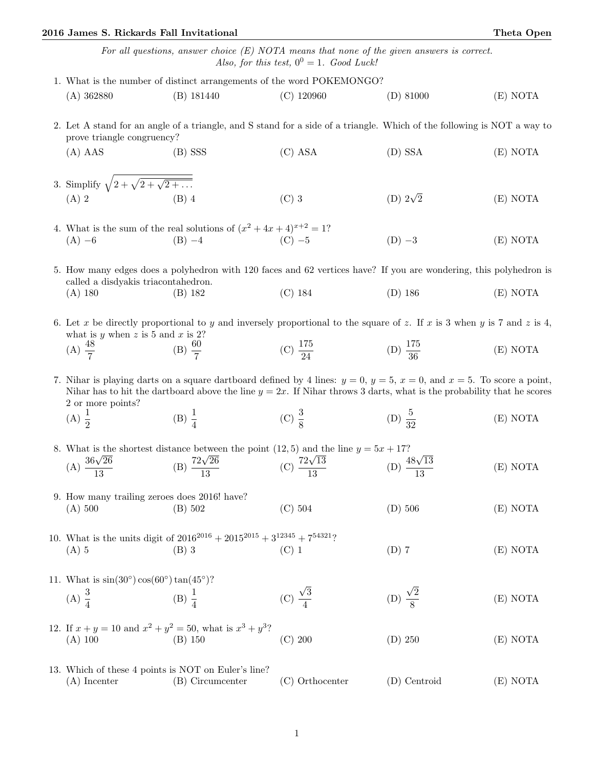## 2016 James S. Rickards Fall Invitational Theta Open

For all questions, answer choice  $(E)$  NOTA means that none of the given answers is correct. Also, for this test,  $0^0 = 1$ . Good Luck!

| 1. What is the number of distinct arrangements of the word POKEMONGO? |              |              |              |             |          |  |  |
|-----------------------------------------------------------------------|--------------|--------------|--------------|-------------|----------|--|--|
|                                                                       | $(A)$ 362880 | $(B)$ 181440 | $(C)$ 120960 | $(D)$ 81000 | (E) NOTA |  |  |

- 2. Let A stand for an angle of a triangle, and S stand for a side of a triangle. Which of the following is NOT a way to prove triangle congruency?
- (A) AAS (B) SSS (C) ASA (D) SSA (E) NOTA 3. Simplify  $\sqrt{2 + \sqrt{2 + \sqrt{2 + \dots}}}$ (A) 2 (B) 4 (C) 3 (D) 2√ (D)  $2\sqrt{2}$  (E) NOTA
- 4. What is the sum of the real solutions of  $(x^2 + 4x + 4)^{x+2} = 1$ ? (A) −6 (B) −4 (C) −5 (D) −3 (E) NOTA

5. How many edges does a polyhedron with 120 faces and 62 vertices have? If you are wondering, this polyhedron is called a disdyakis triacontahedron. (A) 180 (B) 182 (C) 184 (D) 186 (E) NOTA

6. Let x be directly proportional to y and inversely proportional to the square of z. If x is 3 when y is 7 and z is 4, what is  $y$  when  $z$  is 5 and  $x$  is 2?

(A) 
$$
\frac{48}{7}
$$
 (B)  $\frac{60}{7}$  (C)  $\frac{175}{24}$  (D)  $\frac{175}{36}$  (E) NOTA

7. Nihar is playing darts on a square dartboard defined by 4 lines:  $y = 0$ ,  $y = 5$ ,  $x = 0$ , and  $x = 5$ . To score a point, Nihar has to hit the dartboard above the line  $y = 2x$ . If Nihar throws 3 darts, what is the probability that he scores 2 or more points?

(A)  $\frac{1}{2}$ (B)  $\frac{1}{4}$ (C)  $\frac{3}{8}$ (D)  $\frac{5}{32}$ (E) NOTA

8. What is the shortest distance between the point  $(12, 5)$  and the line  $y = 5x + 17$ ? what is the  $($ A)  $\frac{36\sqrt{26}}{12}$ 13 ance between<br>(B)  $\frac{72\sqrt{26}}{12}$ 13 ∴2, 3) and t.<br>(C)  $\frac{72\sqrt{13}}{12}$ 13  $+11$ <br>(D)  $\frac{48\sqrt{13}}{12}$ 13 (E) NOTA

9. How many trailing zeroes does 2016! have? (A) 500 (B) 502 (C) 504 (D) 506 (E) NOTA

10. What is the units digit of  $2016^{2016} + 2015^{2015} + 3^{12345} + 7^{54321}$ ? (A) 5 (B) 3 (C) 1 (D) 7 (E) NOTA

- 11. What is  $sin(30^\circ) cos(60^\circ) tan(45^\circ)$ ? (A)  $\frac{3}{4}$ (B)  $\frac{1}{4}$ (C) √ 3 4 (D) √ 2 8 (E) NOTA
- 12. If  $x + y = 10$  and  $x^2 + y^2 = 50$ , what is  $x^3 + y^3$ ? (A) 100 (B) 150 (C) 200 (D) 250 (E) NOTA
- 13. Which of these 4 points is NOT on Euler's line? (A) Incenter (B) Circumcenter (C) Orthocenter (D) Centroid (E) NOTA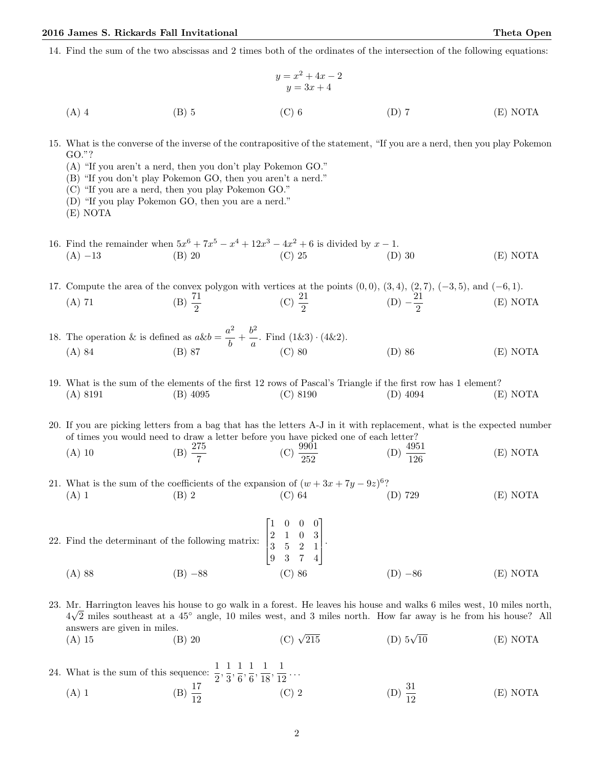14. Find the sum of the two abscissas and 2 times both of the ordinates of the intersection of the following equations:

$$
y = x^{2} + 4x - 2
$$
  
y = 3x + 4  
(A) 4  
(B) 5  
(C) 6  
(D) 7  
(E) NOTA

- 15. What is the converse of the inverse of the contrapositive of the statement, "If you are a nerd, then you play Pokemon GO."?
	- (A) "If you aren't a nerd, then you don't play Pokemon GO."
	- (B) "If you don't play Pokemon GO, then you aren't a nerd."
	- (C) "If you are a nerd, then you play Pokemon GO."
	- (D) "If you play Pokemon GO, then you are a nerd."
	- (E) NOTA
- 16. Find the remainder when  $5x^6 + 7x^5 x^4 + 12x^3 4x^2 + 6$  is divided by  $x 1$ . (A) −13 (B) 20 (C) 25 (D) 30 (E) NOTA

17. Compute the area of the convex polygon with vertices at the points  $(0, 0), (3, 4), (2, 7), (-3, 5),$  and  $(-6, 1)$ . (A) 71 (B)  $\frac{71}{2}$  (C)  $\frac{21}{2}$  (D)  $-\frac{21}{2}$  $\frac{21}{2}$  (E) NOTA

- 18. The operation & is defined as  $a\&b = \frac{a^2}{l}$  $\frac{u^2}{b} + \frac{b^2}{a}$  $\frac{a}{a}$ . Find  $(1\&3) \cdot (4\&2)$ . (A) 84 (B) 87 (C) 80 (D) 86 (E) NOTA
- 19. What is the sum of the elements of the first 12 rows of Pascal's Triangle if the first row has 1 element? (A) 8191 (B) 4095 (C) 8190 (D) 4094 (E) NOTA

20. If you are picking letters from a bag that has the letters A-J in it with replacement, what is the expected number of times you would need to draw a letter before you have picked one of each letter?

- (A) 10 (B)  $\frac{275}{7}$  $(C) \frac{9901}{252}$  $(D) \frac{4951}{126}$ (E) NOTA
- 21. What is the sum of the coefficients of the expansion of  $(w + 3x + 7y 9z)^6$ ? (A) 1 (B) 2 (C) 64 (D) 729 (E) NOTA
- 22. Find the determinant of the following matrix:  $\lceil$  $\Big\}$ 1 0 0 0 2 1 0 3 3 5 2 1 9 3 7 4 1  $\begin{matrix} \phantom{-} \end{matrix}$ . (A) 88 (B) −88 (C) 86 (D) −86 (E) NOTA
- 23. Mr. Harrington leaves his house to go walk in a forest. He leaves his house and walks 6 miles west, 10 miles north,  $4\sqrt{2}$  miles southeast at a 45<sup>°</sup> angle, 10 miles west, and 3 miles north. How far away is he from his house? All answers are given in miles.<br>
(A) 15 (B) 20 (C)  $\sqrt{ }$ (C)  $\sqrt{215}$  (D)  $5\sqrt{10}$  $(E)$  NOTA
- 24. What is the sum of this sequence:  $\frac{1}{2}$ ,  $\frac{1}{3}$  $\frac{1}{3}, \frac{1}{6}$  $\frac{1}{6}, \frac{1}{6}$  $\frac{1}{6}, \frac{1}{18}$  $\frac{1}{18}, \frac{1}{12}$  $\frac{1}{12} \cdots$ (A) 1 (B)  $\frac{17}{12}$ (C) 2 (D)  $\frac{31}{12}$ (E) NOTA